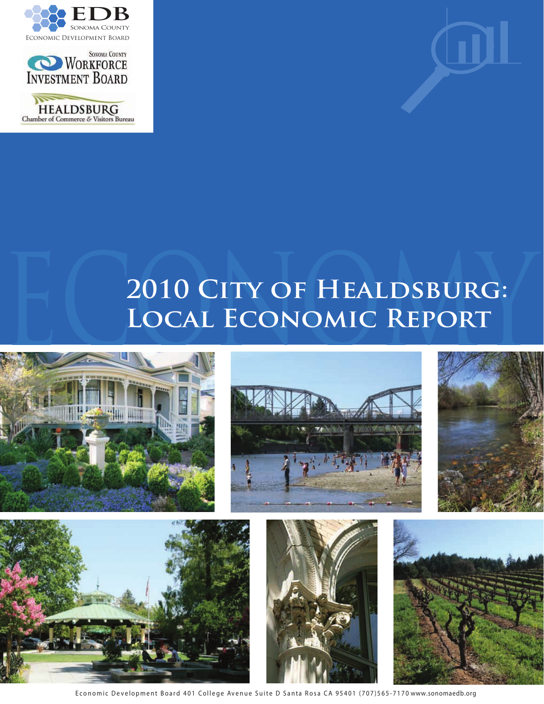





# 2010 CITY OF HEALDSBURG:<br>LOCAL ECONOMIC REPORT **Local Economic Report**













Economic Development Board 401 College Avenue Suite D Santa Rosa CA 95401 (707)565-7170 www.sonomaedb.org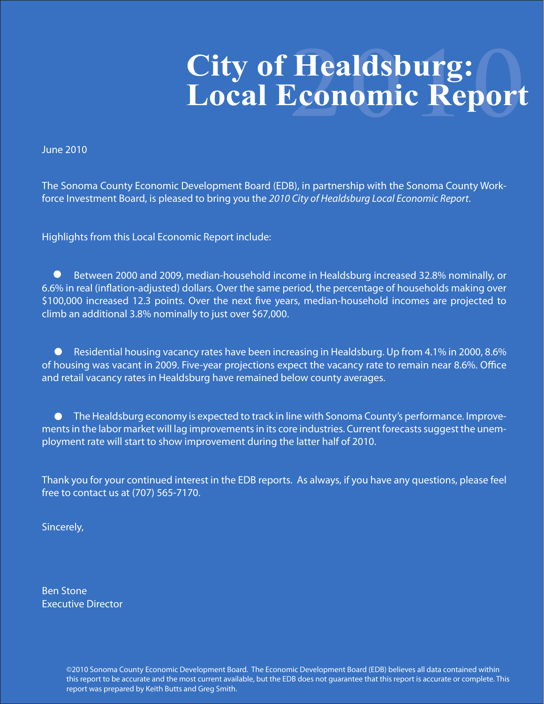# **2010 City of Healdsburg: Local Economic Report**

June 2010

The Sonoma County Economic Development Board (EDB), in partnership with the Sonoma County Workforce Investment Board, is pleased to bring you the *2010 City of Healdsburg Local Economic Report*.

Highlights from this Local Economic Report include:

 Between 2000 and 2009, median-household income in Healdsburg increased 32.8% nominally, or 6.6% in real (inflation-adjusted) dollars. Over the same period, the percentage of households making over \$100,000 increased 12.3 points. Over the next five years, median-household incomes are projected to climb an additional 3.8% nominally to just over \$67,000.  $\bullet$ 

■ Residential housing vacancy rates have been increasing in Healdsburg. Up from 4.1% in 2000, 8.6% of housing was vacant in 2009. Five-year projections expect the vacancy rate to remain near 8.6%. Office and retail vacancy rates in Healdsburg have remained below county averages.

■ ■ The Healdsburg economy is expected to track in line with Sonoma County's performance. Improvements in the labor market will lag improvements in its core industries. Current forecasts suggest the unemployment rate will start to show improvement during the latter half of 2010.

Thank you for your continued interest in the EDB reports. As always, if you have any questions, please feel free to contact us at (707) 565-7170.

Sincerely,

Ben Stone Executive Director

> ©2010 Sonoma County Economic Development Board. The Economic Development Board (EDB) believes all data contained within this report to be accurate and the most current available, but the EDB does not guarantee that this report is accurate or complete. This report was prepared by Keith Butts and Greg Smith.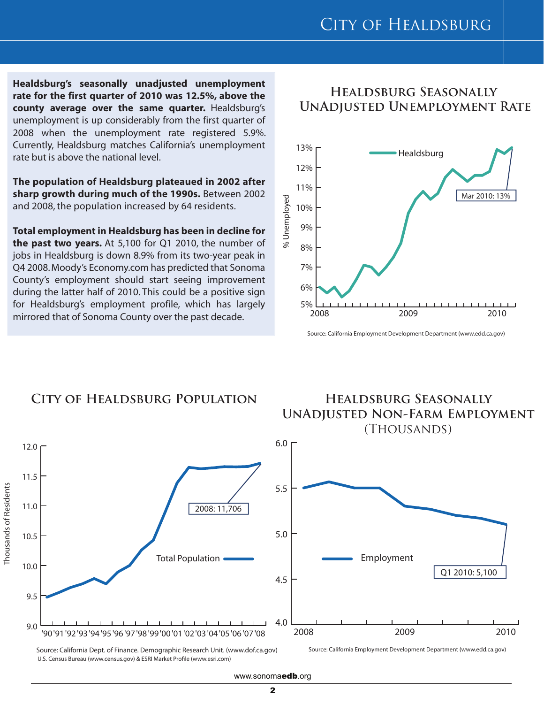**Healdsburg's seasonally unadjusted unemployment rate for the first quarter of 2010 was 12.5%, above the county average over the same quarter.** Healdsburg's unemployment is up considerably from the first quarter of 2008 when the unemployment rate registered 5.9%. Currently, Healdsburg matches California's unemployment rate but is above the national level.

**The population of Healdsburg plateaued in 2002 after sharp growth during much of the 1990s.** Between 2002 and 2008, the population increased by 64 residents.

**Total employment in Healdsburg has been in decline for the past two years.** At 5,100 for Q1 2010, the number of jobs in Healdsburg is down 8.9% from its two-year peak in Q4 2008. Moody's Economy.com has predicted that Sonoma County's employment should start seeing improvement during the latter half of 2010. This could be a positive sign for Healdsburg's employment profile, which has largely mirrored that of Sonoma County over the past decade.

#### **Healdsburg Seasonally UnAdjusted Unemployment Rate**



Source: California Employment Development Department (www.edd.ca.gov)



Source: California Dept. of Finance. Demographic Research Unit. (www.dof.ca.gov) U.S. Census Bureau (www.census.gov) & ESRI Market Profile (www.esri.com)

Source: California Employment Development Department (www.edd.ca.gov)

#### www.sonomaedb.org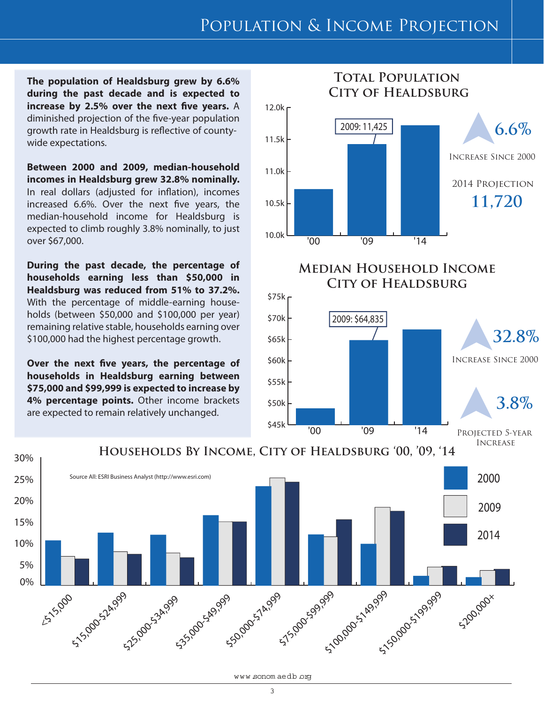# Population & Income Projection

**The population of Healdsburg grew by 6.6% during the past decade and is expected to increase by 2.5% over the next five years.** A diminished projection of the five-year population growth rate in Healdsburg is reflective of countywide expectations.

**Between 2000 and 2009, median-household incomes in Healdsburg grew 32.8% nominally.** In real dollars (adjusted for inflation), incomes increased 6.6%. Over the next five years, the median-household income for Healdsburg is expected to climb roughly 3.8% nominally, to just over \$67,000.

**During the past decade, the percentage of households earning less than \$50,000 in Healdsburg was reduced from 51% to 37.2%.**  With the percentage of middle-earning households (between \$50,000 and \$100,000 per year) remaining relative stable, households earning over \$100,000 had the highest percentage growth.

**Over the next five years, the percentage of households in Healdsburg earning between \$75,000 and \$99,999 is expected to increase by 4% percentage points.** Other income brackets are expected to remain relatively unchanged.





#### www.sonom aedb.org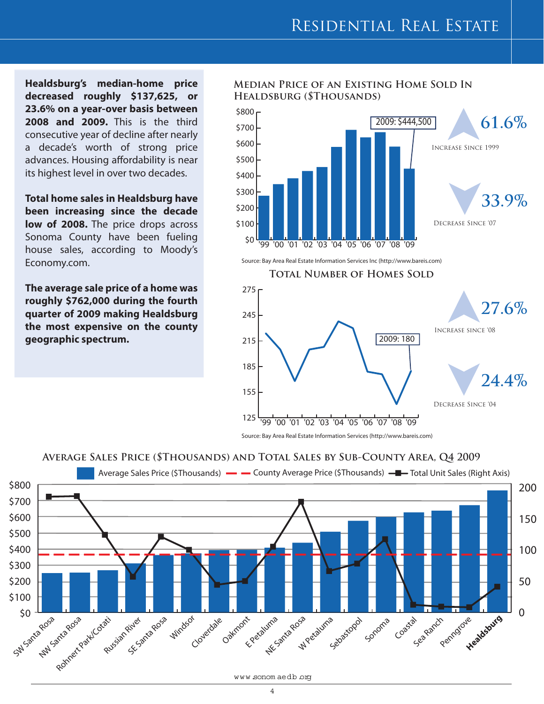**Healdsburg's median-home price decreased roughly \$137,625, or 23.6% on a year-over basis between 2008 and 2009.** This is the third consecutive year of decline after nearly a decade's worth of strong price advances. Housing affordability is near its highest level in over two decades.

**Total home sales in Healdsburg have been increasing since the decade**  low of 2008. The price drops across Sonoma County have been fueling house sales, according to Moody's Economy.com.

**The average sale price of a home was roughly \$762,000 during the fourth quarter of 2009 making Healdsburg the most expensive on the county geographic spectrum.**

#### **Median Price of an Existing Home Sold In Healdsburg (\$Thousands)**



Source: Bay Area Real Estate Information Services Inc (http://www.bareis.com)



Source: Bay Area Real Estate Information Services (http://www.bareis.com)

#### **Average Sales Price (\$Thousands) and Total Sales by Sub-County Area, Q4 2009**

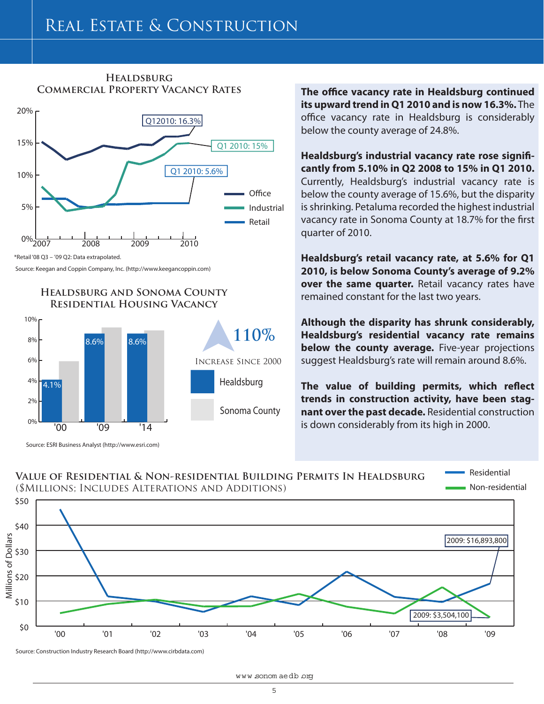#### **Healdsburg Commercial Property Vacancy Rates**



<sup>\*</sup>Retail '08 Q3 – '09 Q2: Data extrapolated.

Source: Keegan and Coppin Company, Inc. (http://www.keegancoppin.com)

#### **Healdsburg and Sonoma County Residential Housing Vacancy**



Source: ESRI Business Analyst (http://www.esri.com)

**The office vacancy rate in Healdsburg continued its upward trend in Q1 2010 and is now 16.3%.** The office vacancy rate in Healdsburg is considerably below the county average of 24.8%.

**Healdsburg's industrial vacancy rate rose significantly from 5.10% in Q2 2008 to 15% in Q1 2010.**  Currently, Healdsburg's industrial vacancy rate is below the county average of 15.6%, but the disparity is shrinking. Petaluma recorded the highest industrial vacancy rate in Sonoma County at 18.7% for the first quarter of 2010.

**Healdsburg's retail vacancy rate, at 5.6% for Q1 2010, is below Sonoma County's average of 9.2% over the same quarter.** Retail vacancy rates have remained constant for the last two years.

**Although the disparity has shrunk considerably, Healdsburg's residential vacancy rate remains below the county average.** Five-year projections suggest Healdsburg's rate will remain around 8.6%.

**The value of building permits, which reflect trends in construction activity, have been stagnant over the past decade.** Residential construction is down considerably from its high in 2000.

#### **Value of Residential & Non-residential Building Permits In Healdsburg** (\$Millions; Includes Alterations and Additions)

Non-residential Residential



Source: Construction Industry Research Board (http://www.cirbdata.com)

www.sonom aedb.org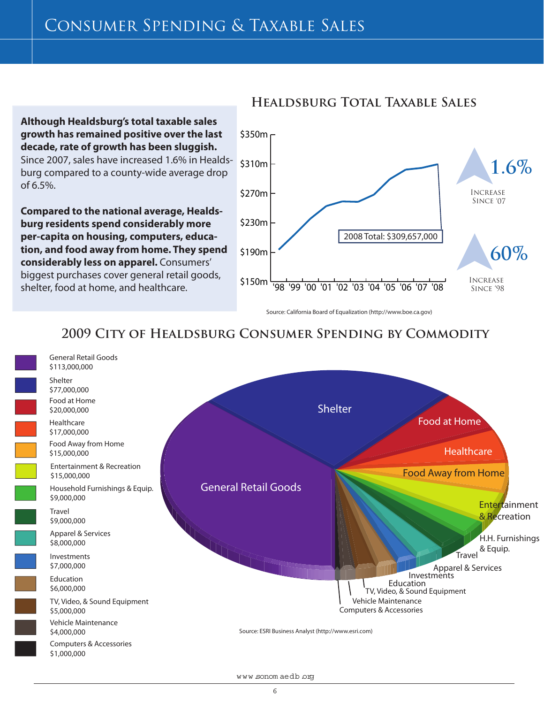## Consumer Spending & Taxable Sales

**Although Healdsburg's total taxable sales growth has remained positive over the last decade, rate of growth has been sluggish.** Since 2007, sales have increased 1.6% in Healds-

burg compared to a county-wide average drop of 6.5%.

**Compared to the national average, Healdsburg residents spend considerably more per-capita on housing, computers, education, and food away from home. They spend considerably less on apparel.** Consumers' biggest purchases cover general retail goods, shelter, food at home, and healthcare.



#### **Healdsburg Total Taxable Sales**

Source: California Board of Equalization (http://www.boe.ca.gov)

### **2009 City of Healdsburg Consumer Spending by Commodity**



www.sonom aedb.org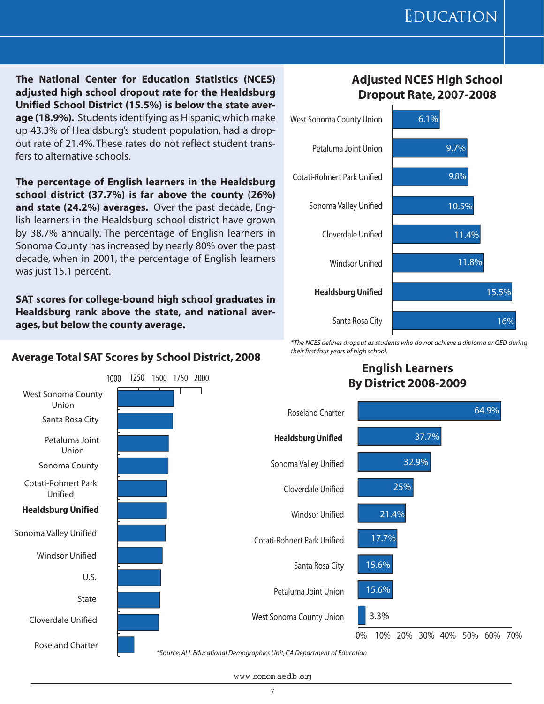**The National Center for Education Statistics (NCES) adjusted high school dropout rate for the Healdsburg Unified School District (15.5%) is below the state average (18.9%).** Students identifying as Hispanic, which make up 43.3% of Healdsburg's student population, had a dropout rate of 21.4%. These rates do not reflect student transfers to alternative schools.

**The percentage of English learners in the Healdsburg school district (37.7%) is far above the county (26%) and state (24.2%) averages.** Over the past decade, English learners in the Healdsburg school district have grown by 38.7% annually. The percentage of English learners in Sonoma County has increased by nearly 80% over the past decade, when in 2001, the percentage of English learners was just 15.1 percent.

**SAT scores for college-bound high school graduates in Healdsburg rank above the state, and national averages, but below the county average.**

#### **Average Total SAT Scores by School District, 2008**



#### **Adjusted NCES High School Dropout Rate, 2007-2008**



*\*The NCES defines dropout as students who do not achieve a diploma or GED during their first four years of high school.*

#### **English Learners By District 2008-2009**



*\*Source: ALL Educational Demographics Unit, CA Department of Education*